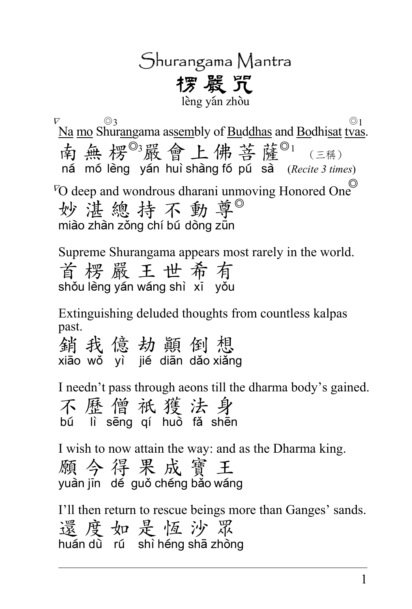## Shurangama Mantra 摆 器 咒 lèng ván zhòu

 $\begin{array}{ccc} \text{S} & \text{S} & \text{S} \\ \text{S} & \text{S} & \text{S} & \text{S} & \text{S} \\ \text{S} & \text{S} & \text{S} & \text{S} & \text{S} \\ \text{S} & \text{S} & \text{S} & \text{S} & \text{S} \end{array}$  $\overline{N}$ Na mo Shur<u>an</u>gama as<u>sem</u>bly of <u>Buddhas</u> and <u>Bo</u>dhi<u>sat tvas</u>. 南無楞<sup>o3</sup>嚴會上佛菩薩<sup>o1</sup>(三稱) ná mó lèng yán huì shàng fó pú sà (Recite 3 times)  $\overline{V}O$  deep and wondrous dharani unmoving Honored One 妙湛總持不動尊 miào zhàn zǒng chí bú dòng zūn

Supreme Shurangama appears most rarely in the world. 首楞嚴王世希有 shǒu lèng yán wáng shì xi yǒu

Extinguishing deluded thoughts from countless kalpas past.

銷我億劫顛倒想 xião wǒ yì jié diān dǎo xiǎng

I needn't pass through aeons till the dharma body's gained. 不歷僧祇獲法身 bú lì sēng qí huò fǎ shēn

I wish to now attain the way: and as the Dharma king. 願今得果成寶王 vuần jin de quố chéng bảo wáng

I'll then return to rescue beings more than Ganges' sands. 還度如是恆沙眾 huán dù rú shì héng shā zhòng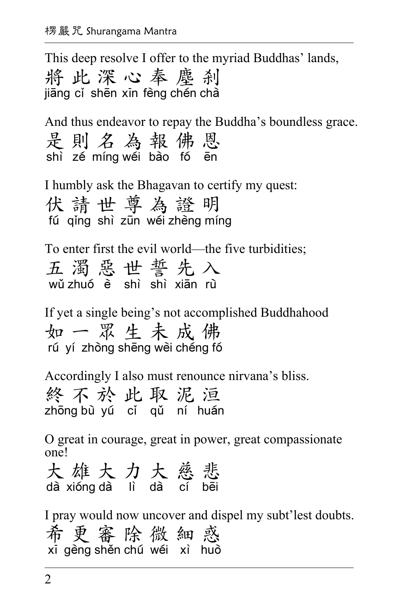This deep resolve I offer to the myriad Buddhas' lands, 將此深心奉塵剎 jiang ci shēn xin fèng chén chà

And thus endeavor to repay the Buddha's boundless grace. 是則名為報佛恩 shì zé míng wéi bào fó ēn

I humbly ask the Bhagavan to certify my quest: 伏請世尊為證明 fú ging shì zun wéi zhèng míng

To enter first the evil world—the five turbidities; 五濁惡世誓先入  $w$ ử zhuó  $\tilde{e}$  shì shì xian rù

If yet a single being's not accomplished Buddhahood 如一眾生未成佛 rú yí zhòng shēng wèi chéng fó

Accordingly I also must renounce nirvana's bliss. 終不於此取泥洹 zhong bù yú cí gǔ ní huán

O great in courage, great in power, great compassionate one!

大雄大力大慈悲 dà xióng dà lì dà cí bēi

I pray would now uncover and dispel my subt'lest doubts. 希更審除微細惑 xī gèng shěn chú wéi xì huò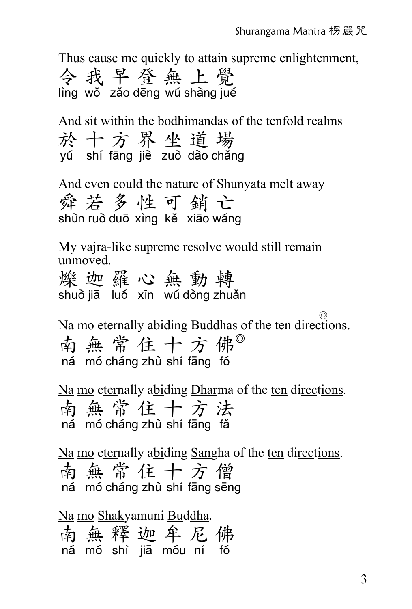Thus cause me quickly to attain supreme enlightenment, 令我早登無上覺 lìng wǒ zǎo dēng wú shàng jué

And sit within the bodhimandas of the tenfold realms 於十方界坐道場 vú shí fāng jiè zuò dào cháng

And even could the nature of Shunyata melt away 舜若多性可銷亡 shùn ruò duō xìng kẻ xiao wang

My vajra-like supreme resolve would still remain unmoved.

爍 迦羅心無動轉 shuò jiā luó xin wu dòng zhuǎn

ʳʳʳʳʳʳʳʳʳʳʳʳʳʳʳʳʳʳʳʳʳʳʳʳʳʳʳʳʳʳʳʳʳʳʳʳʳʳʳʳʳʳʳʳʳʳʳʳʳʳʳʳʳʳʳʳʳʳʳʳʳʳʳʳʳʳʳʳʳʳʳʳʳʳʳʳʳʳʳʳʳʳʳʳʳʳʳʳʳʳʳʳŖ Na mo eternally abiding Buddhas of the ten directions. 南無常住十方佛 ná mó cháng zhù shí fāng fó

Na mo eternally abiding Dharma of the ten directions. 南無常住十方法 ná mó cháng zhù shí fang fǎ

Na mo eternally abiding Sangha of the ten directions. 南無常住十方僧 ná mó cháng zhù shí fāng sēng

Na mo Shakyamuni Buddha. 南無釋迦牟尼佛  $n\acute{a}$  mó shì jia móu ní fó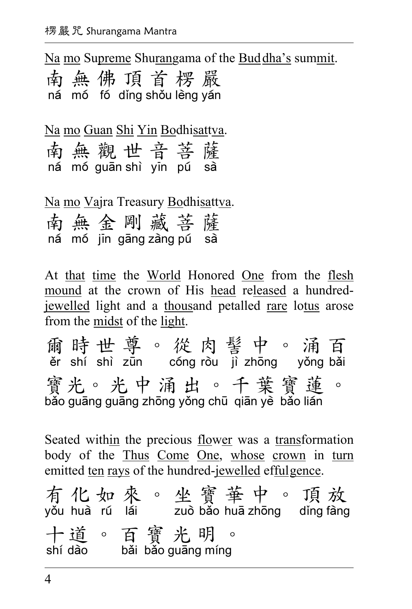Na mo Supreme Shurangama of the Buddha's summit.

南無佛頂首楞嚴 ná mó fó díng shỏu lèng ván

Na mo Guan Shi Yin Bodhisattva.

|  | 南無觀世音菩薩                  |  |  |
|--|--------------------------|--|--|
|  | ná mó guān shì yīn pú sà |  |  |

Na mo Vajra Treasury Bodhisattva. 南無金剛藏菩薩 ná mó jin gang zàng pú sà

At that time the World Honored One from the flesh mound at the crown of His head released a hundredjewelled light and a thousand petalled rare lotus arose from the midst of the light.

爾時世尊。從肉髻中。涌百  $\ddot{c}$  shí shì zun cóng ròu  $\ddot{a}$  zhong vòng bài 賓光。光中涌出。千葉寶蓮 bǎo guāng guāng zhōng yǒng chū qiān vè bǎo lián

Seated within the precious flower was a transformation body of the Thus Come One, whose crown in turn emitted ten rays of the hundred-jewelled effulgence.

有化如來。坐寶華中。頂放 yǒu huà rú lái zuò bǎo huā zhōng dǐng fàng 十道。百寶光明。 shí dào bǎi bǎo guāng míng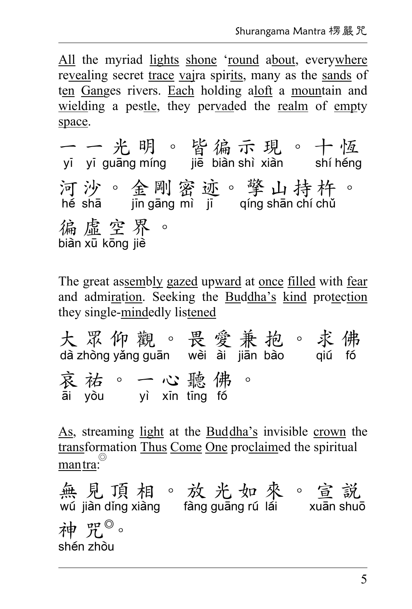All the myriad lights shone 'round about, everywhere revealing secret trace vajra spirits, many as the sands of ten Ganges rivers. Each holding aloft a mountain and wielding a pestle, they pervaded the realm of empty space.

一一光明。皆徧示現。十恆 yī yī guāng míng jiē biàn shì xiàn shí héng 河沙。金剛密迹。擎山持杵。 hế shā jin gāng mì ji qíng shān chí chủ 徧虛空界。 biàn xū kōng jiè

The great assembly gazed upward at once filled with fear and admiration. Seeking the Buddha's kind protection they single-mindedly listened

大眾仰觀。畏愛兼抱。求佛 dà zhòng yǎng guān wèi ài jiān bào qiú fó 哀祐。一心聽佛。 āi yòu yì xīn tīng fó

As, streaming light at the Buddha's invisible crown the transformation Thus Come One proclaimed the spiritual mantra:

無見頂相。放光如來。宣説 wú jiàn dǐng xiàng fàng guang rú lái xuan shuō 神咒。 shén zhòu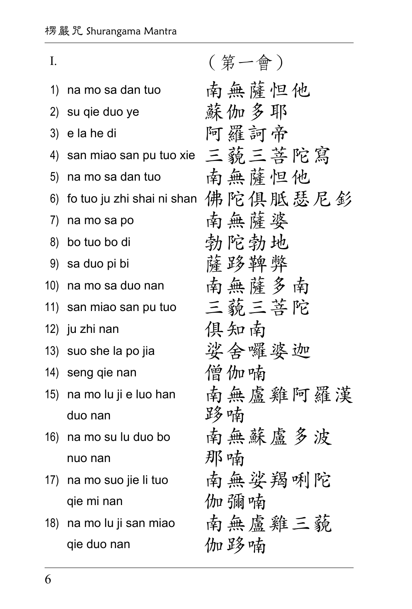| I.  |                                | (第一會)                              |
|-----|--------------------------------|------------------------------------|
| 1)  | na mo sa dan tuo               | 南無薩怛他                              |
| 2)  | su qie duo ye                  | 蘇伽多耶                               |
| 3)  | e la he di                     | 阿羅訶帝                               |
| 4)  | san miao san pu tuo xie 三藐三菩陀寫 |                                    |
| 5)  | na mo sa dan tuo               | 南無薩怛他                              |
| 6)  |                                | fo tuo ju zhi shai ni shan 佛陀俱胝瑟尼釤 |
| 7)  | na mo sa po                    | 南無薩婆                               |
| 8)  | bo tuo bo di                   | 勃陀勃地                               |
| 9)  | sa duo pi bi                   | 薩路鞞弊                               |
| 10) | na mo sa duo nan               | 南無薩多南                              |
| 11) | san miao san pu tuo            | 三藐三菩陀                              |
|     | 12) ju zhi nan                 | 俱知南                                |
|     | 13) suo she la po jia          | 娑会囉婆迦                              |
|     | 14) seng qie nan               | 僧伽喃                                |
|     | 15) na mo lu ji e luo han      | 南無盧雞阿羅漢                            |
|     | duo nan                        | 跢喃                                 |
|     | 16) na mo su lu duo bo         | 南無蘇盧多波                             |
|     | nuo nan                        | 那喃                                 |
|     | 17) na mo suo jie li tuo       | 南無娑羯唎陀                             |
|     | qie mi nan                     | 伽彌喃                                |
|     | 18) na mo lu ji san miao       | 南無盧雞三藐                             |
|     | qie duo nan                    | 伽路喃                                |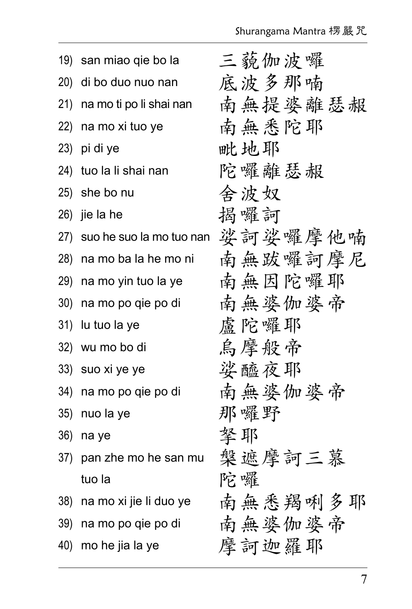| 19) | san miao qie bo la       | 三藐伽波囉   |
|-----|--------------------------|---------|
| 20) | di bo duo nuo nan        | 底波多那喃   |
| 21) | na mo ti po li shai nan  | 南無提婆離瑟赧 |
| 22) | na mo xi tuo ye          | 南無悉陀耶   |
| 23) | pi di ye                 | 毗地耶     |
| 24) | tuo la li shai nan       | 陀囉離瑟赧   |
| 25) | she bo nu                | 舍波奴     |
| 26) | jie la he                | 揭囉訶     |
| 27) | suo he suo la mo tuo nan | 娑訶娑囉摩他喃 |
| 28) | na mo ba la he mo ni     | 南無跋囉訶摩尼 |
| 29) | na mo yin tuo la ye      | 南無因陀囉耶  |
| 30) | na mo po qie po di       | 南無婆伽婆帝  |
| 31) | lu tuo la ye             | 盧陀囉耶    |
| 32) | wu mo bo di              | 烏摩般帝    |
| 33) | suo xi ye ye             | 娑醯夜耶    |
| 34) | na mo po qie po di       | 南無婆伽婆帝  |
| 35) | nuo la ye                | 那囉野     |
| 36) | na ye                    | 拏耶      |
| 37) | pan zhe mo he san mu     | 槃遮摩訶三慕  |
|     | tuo la                   | 陀囉      |
| 38) | na mo xi jie li duo ye   | 南無悉羯咧多耶 |
| 39) | na mo po qie po di       | 南無婆伽婆帝  |
| 40) | mo he jia la ye          | 摩訶迦羅耶   |
|     |                          |         |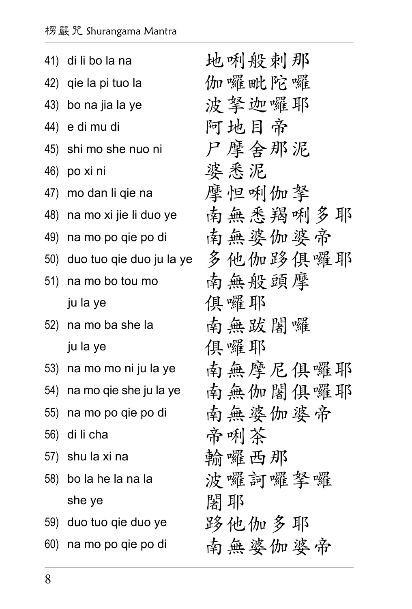|     | 41) di li bo la na       | 地唎般剌那   |
|-----|--------------------------|---------|
| 42) | qie la pi tuo la         | 伽囉毗陀囉   |
| 43) | bo na jia la ye          | 波拏迦囉耶   |
| 44) | e di mu di               | 阿地目帝    |
| 45) | shi mo she nuo ni        | 尸摩会那泥   |
| 46) | po xi ni                 | 婆悉泥     |
| 47) | mo dan li qie na         | 摩怛唎伽拏   |
| 48) | na mo xi jie li duo ye   | 南無悉羯咧多耶 |
|     | 49) na mo po qie po di   | 南無婆伽婆帝  |
| 50) | duo tuo qie duo ju la ye | 多他伽路俱囉耶 |
| 51) | na mo bo tou mo          | 南無般頭摩   |
|     | ju la ye                 | 俱囉耶     |
|     | 52) na mo ba she la      | 南無跋闍囉   |
|     | ju la ye                 | 俱囉耶     |
|     | 53) na mo mo ni ju la ye | 南無摩尼俱囉耶 |
| 54) | na mo qie she ju la ye   | 南無伽闍俱囉耶 |
| 55) | na mo po qie po di       | 南無婆伽婆帝  |
| 56) | di li cha                | 帝唎茶     |
| 57) | shu la xi na             | 輸囉西那    |
| 58) | bo la he la na la        | 波囉訶囉拏囉  |
|     | she ye                   | 闍耶      |
|     | 59) duo tuo qie duo ye   | 跢他伽多耶   |
| 60) | na mo po qie po di       | 南無婆伽婆帝  |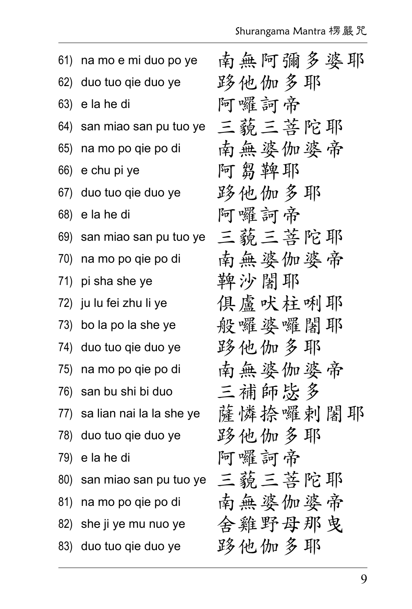|     | 61) na mo e mi duo po ye          | 南無阿彌多婆耶 |
|-----|-----------------------------------|---------|
|     | 62) duo tuo qie duo ye            | 跢他伽多耶   |
| 63) | e la he di                        | 阿囉訶帝    |
|     | 64) san miao san pu tuo ye        | 三藐三菩陀耶  |
|     | 65) na mo po qie po di            | 南無婆伽婆帝  |
|     | 66) e chu pi ye                   | 阿芻鞞耶    |
|     | 67) duo tuo qie duo ye            | 跨他伽多耶   |
|     | 68) e la he di                    | 阿囉訶帝    |
|     | 69) san miao san pu tuo ye 三藐三菩陀耶 |         |
|     | 70) na mo po qie po di            | 南無婆伽婆帝  |
|     | 71) pi sha she ye                 | 鞞沙闍耶    |
|     | 72) ju lu fei zhu li ye           | 俱盧吠柱唎耶  |
|     | 73) bo la po la she ye            | 般囉婆囉闍耶  |
|     | 74) duo tuo qie duo ye            | 跨他伽多耶   |
|     | 75) na mo po qie po di            | 南無婆伽婆帝  |
|     | 76) san bu shi bi duo             | 三補師毖多   |
|     | 77) sa lian nai la la she ye      | 薩憐捺囉剌闍耶 |
|     | 78) duo tuo qie duo ye            | 跨他伽多耶   |
|     | 79) e la he di                    | 阿囉訶帝    |
|     | 80) san miao san pu tuo ye        | 三藐三菩陀耶  |
|     | 81) na mo po qie po di            | 南無婆伽婆帝  |
|     | 82) she ji ye mu nuo ye           | 舍鸡野母那曳  |
|     | 83) duo tuo qie duo ye            | 跨他伽多耶   |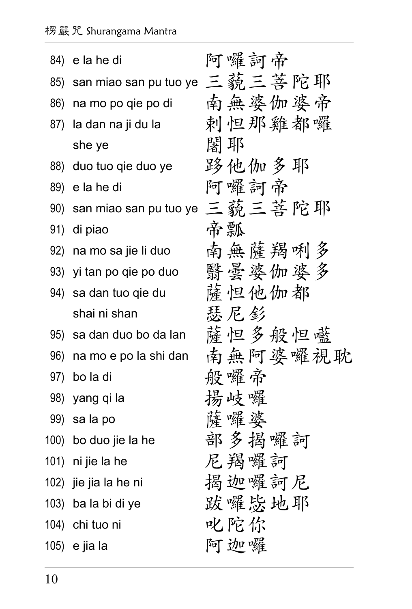|     | 84) e la he di                    | 阿囉訶帝    |
|-----|-----------------------------------|---------|
|     | 85) san miao san pu tuo ye 三藐三菩陀耶 |         |
|     | 86) na mo po qie po di            | 南無婆伽婆帝  |
|     | 87) la dan na ji du la            | 剌怛那雞都囉  |
|     | she ye                            | 闍耶      |
|     | 88) duo tuo qie duo ye            | 跨他伽多耶   |
| 89) | e la he di                        | 阿囉訶帝    |
| 90) | san miao san pu tuo ye 三藐三菩陀耶     |         |
| 91) | di piao                           | 帝瓢      |
|     | 92) na mo sa jie li duo           | 南無薩羯咧多  |
|     | 93) yi tan po qie po duo          | 翳晕婆伽婆多  |
|     | 94) sa dan tuo qie du             | 薩怛他伽都   |
|     | shai ni shan                      | 瑟尼彭     |
|     | 95) sa dan duo bo da lan          | 薩怛多般怛礷  |
| 96) | na mo e po la shi dan             | 南無阿婆囉視耽 |
|     | 97) bo la di                      | 般囉帝     |
|     | 98) yang qi la                    | 揚岐囉     |
|     | 99) salapo                        | 薩囉婆     |
|     | 100) bo duo jie la he             | 部多揭囉訶   |
|     | 101) ni jie la he                 | 尼羯囉訶    |
|     | 102) jie jia la he ni             | 揭迦囉訶尼   |
|     | 103) ba la bi di ye               | 跋囉毖地耶   |
|     | 104) chi tuo ni                   | 叱陀你     |
|     | 105) e jia la                     | 阿迦囉     |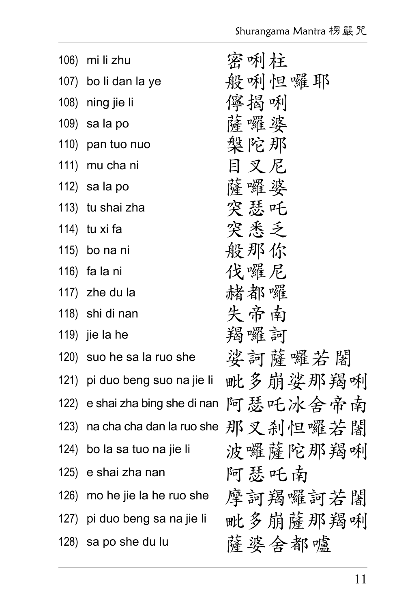|      | 106) mi li zhu                  | 密唎柱     |
|------|---------------------------------|---------|
|      | 107) bo li dan la ye            | 般喇怛囉耶   |
|      | 108) ning jie li                | 儜揭唎     |
|      | 109) salapo                     | 薩囉婆     |
| 110) | pan tuo nuo                     | 槃陀那     |
| 111) | mu cha ni                       | 目叉尼     |
|      | 112) salapo                     | 薩囉婆     |
|      | 113) tu shai zha                | 突瑟吒     |
|      | 114) tu xi fa                   | 突悉乏     |
|      | 115) bo na ni                   | 般那你     |
|      | 116) falani                     | 伐囉尼     |
|      | 117) zhe du la                  | 赭都囉     |
|      | 118) shi di nan                 | 失帝南     |
|      | 119) jie la he                  | 羯囉訶     |
|      | 120) suo he sa la ruo she       | 娑訶薩囉若闍  |
| 121) | pi duo beng suo na jie li       | 毗多崩娑那羯咧 |
|      | 122) e shai zha bing she di nan | 阿瑟吒冰舍帝南 |
| 123) | na cha cha dan la ruo she       | 那叉刹怛囉若闍 |
|      | 124) bo la sa tuo na jie li     | 波囉薩陀那羯唎 |
|      | 125) e shai zha nan             | 阿瑟吒南    |
|      | 126) mo he jie la he ruo she    | 摩訶羯囉訶若闍 |
|      | 127) pi duo beng sa na jie li   | 毗多崩薩那羯咧 |
|      | 128) sa po she du lu            | 薩婆舍都嚧   |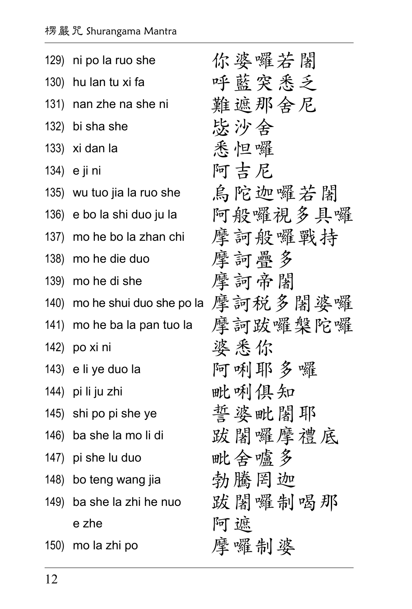| 129) ni po la ruo she       | 你婆囉若闍                                 |
|-----------------------------|---------------------------------------|
| 130) hu lan tu xi fa        | 呼藍突悉乏                                 |
| 131) nan zhe na she ni      | 難遮那舍尼                                 |
| 132) bi sha she             | 毖沙舍                                   |
| 133) xi dan la              | 悉怛囉                                   |
| 134) e ji ni                | 阿吉尼                                   |
| 135) wu tuo jia la ruo she  | 烏陀迦囉若闍                                |
| 136) e bo la shi duo ju la  | 阿般囉視多具囉                               |
| 137) mo he bo la zhan chi   | 摩訶般囉戰持                                |
| 138) mo he die duo          | 摩訶疊多                                  |
| 139) mo he di she           | 摩訶帝闍                                  |
|                             | 140) mo he shui duo she po la 摩訶税多闍婆囉 |
| 141) mo he ba la pan tuo la | 摩訶跋囉槃陀囉                               |
| 142) po xi ni               | 婆悉你                                   |
| 143) e li ye duo la         | 阿唎耶多囉                                 |
| 144) pi li ju zhi           | 毗唎俱知                                  |
| 145) shi po pi she ye       | 誓婆毗闍耶                                 |
| 146) ba she la mo li di     | 跋闍囉摩禮底                                |
| 147) pi she lu duo          | 毗舍嚧多                                  |
| 148) bo teng wang jia       | 勃騰罔迦                                  |
| 149) ba she la zhi he nuo   | 跋闍囉制喝那                                |
| e zhe                       | 阿遮                                    |
| 150) mo la zhi po           | 摩囉制婆                                  |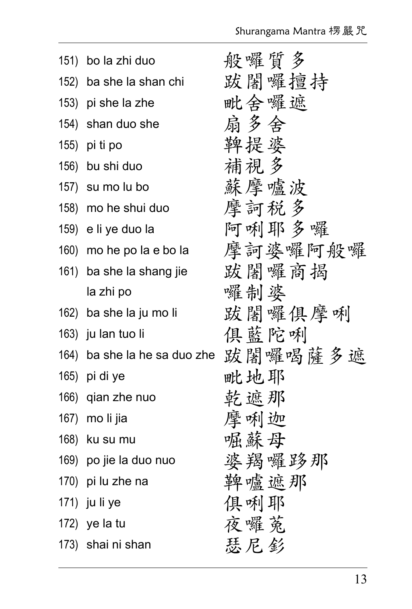| 151) bo la zhi duo           | 般囉質多    |
|------------------------------|---------|
| 152) ba she la shan chi      | 跋闍囉擅持   |
| 153) pi she la zhe           | 毗舍囉遮    |
| 154) shan duo she            | 扇多会     |
| 155) pi ti po                | 鞞提婆     |
| 156) bu shi duo              | 補視多     |
| 157) su mo lu bo             | 蘇摩嚧波    |
| 158) mo he shui duo          | 摩訶税多    |
| 159) e li ye duo la          | 阿唎耶多囉   |
| 160) mo he po la e bo la     | 摩訶婆囉阿般囉 |
| 161) ba she la shang jie     | 跋闍囉商揭   |
| la zhi po                    | 囉制婆     |
| 162) ba she la ju mo li      | 跋闍囉俱摩唎  |
| 163) ju lan tuo li           | 俱藍陀蜊    |
| 164) ba she la he sa duo zhe | 跋闍囉喝薩多遮 |
| 165) pi di ye                | 毗地耶     |
| 166) qian zhe nuo            | 乾遮那     |
| 167) mo li jia               | 摩咧迦     |
| 168) ku su mu                | 崛蘇母     |
| 169) po jie la duo nuo       | 婆羯囉跢那   |
| 170) pi lu zhe na            | 鞞嚧遮那    |
| 171) ju li ye                | 俱咧耶     |
| 172) ye la tu                | 夜囉菟     |
| 173) shai ni shan            | 瑟尼彭     |
|                              |         |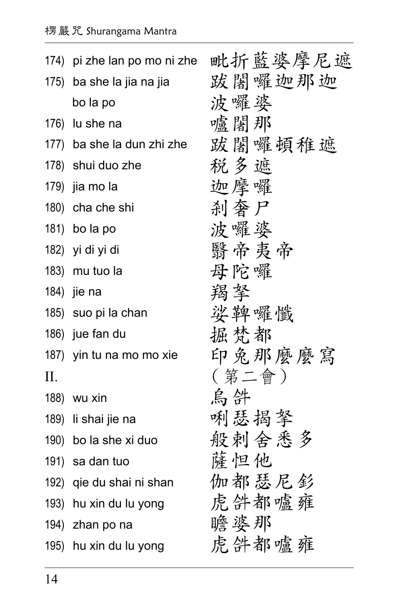|    | 174) pi zhe lan po mo ni zhe | 毗折藍婆摩尼遮 |
|----|------------------------------|---------|
|    | 175) ba she la jia na jia    | 跋闍囉迦那迦  |
|    | bo la po                     | 波囉婆     |
|    | 176) lu she na               | 嚧闍那     |
|    | 177) ba she la dun zhi zhe   | 跋闍囉頓稚遮  |
|    | 178) shui duo zhe            | 税多遮     |
|    | 179) jia mo la               | 迦摩囉     |
|    | 180) cha che shi             | 刹奢尸     |
|    | 181) bo la po                | 波囉婆     |
|    | 182) yi di yi di             | 翳帝夷帝    |
|    | 183) mu tuo la               | 母陀囉     |
|    | 184) jie na                  | 羯拏      |
|    | 185) suo pi la chan          | 娑鞞囉懺    |
|    | 186) jue fan du              | 掘梵都     |
|    | 187) yin tu na mo mo xie     | 印兔那麼麼寫  |
| П. |                              | ( 第二會 ) |
|    | 188) wu xin                  | 烏件      |
|    | 189) li shai jie na          | 唎瑟揭拏    |
|    | 190) bo la she xi duo        | 般刺会悉多   |
|    | 191) sa dan tuo              | 薩怛他     |
|    | 192) qie du shai ni shan     | 伽都瑟尼釤   |
|    | 193) hu xin du lu yong       | 虎絆都嚧雍   |
|    | 194) zhan po na              | 瞻婆那     |
|    | 195) hu xin du lu yong       | 虎絆都嚧雍   |
|    |                              |         |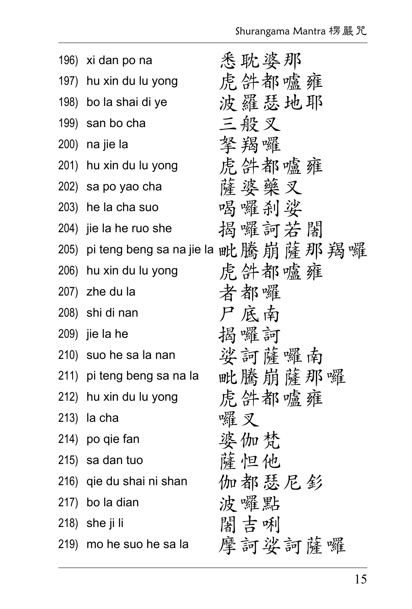| 196) xi dan po na          | 悉耽婆那                                   |
|----------------------------|----------------------------------------|
| 197) hu xin du lu yong     | 虎绊都噱雍                                  |
| 198) bo la shai di ye      | 波羅瑟地耶                                  |
| 199) san bo cha            | 三般叉                                    |
| 200) na jie la             | 拏羯囉                                    |
| 201) hu xin du lu yong     | 虎件都嚧雍                                  |
| 202) sa po yao cha         | 薩婆藥叉                                   |
| 203) he la cha suo         | 喝囉剎娑                                   |
| 204) jie la he ruo she     | 揭囉訶若闍                                  |
|                            | 205) pi teng beng sa na jie la 毗騰崩薩那羯囉 |
| 206) hu xin du lu yong     | 虎件都噱雍                                  |
| 207) zhe du la             | 者都囉                                    |
| 208) shi di nan            | 尸底南                                    |
| 209) jie la he             | 揭囉訶                                    |
| 210) suo he sa la nan      | 娑訶薩囉南                                  |
| 211) pi teng beng sa na la | 毗騰崩薩那囉                                 |
| 212) hu xin du lu yong     | 虎绊都噱雍                                  |
| 213) la cha                | 囉叉                                     |
| 214) po qie fan            | 婆伽梵                                    |
| 215) sa dan tuo            | 薩怛他                                    |
| 216) qie du shai ni shan   | 伽都瑟尼釤                                  |
| 217) bo la dian            | 波囉點                                    |
| 218) she ji li             | 闊吉唎                                    |
| 219) mo he suo he sa la    | 摩訶娑訶薩囉                                 |
|                            |                                        |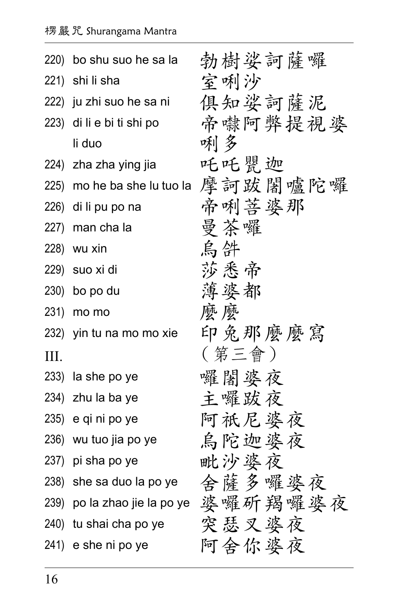|      | 220) bo shu suo he sa la  | 勃樹娑訶薩囉                               |
|------|---------------------------|--------------------------------------|
|      | 221) shi li sha           | 室咧沙                                  |
|      | 222) ju zhi suo he sa ni  | 俱知娑訶薩泥                               |
|      | 223) di li e bi ti shi po | 帝嚇阿弊提視婆                              |
|      | li duo                    | 唎多                                   |
|      | 224) zha zha ying jia     | 吒吒罌迦                                 |
|      |                           | 225) mo he ba she lu tuo la 摩訶跋闍嚧陀囉  |
|      | 226) di li pu po na       | 帝唎菩婆那                                |
|      | 227) man cha la           | 曼茶囉                                  |
|      | 228) wu xin               | 烏件                                   |
|      | 229) suo xi di            | 莎悉帝                                  |
|      | 230) bo po du             | 薄婆都                                  |
| 231) | mo mo                     | 麼麼                                   |
|      | 232) yin tu na mo mo xie  | 印兔那麼麼寫                               |
| III. |                           | (第三會)                                |
|      | 233) la she po ye         | 囉闍婆夜                                 |
|      | 234) zhu la ba ye         | 主囉跋夜                                 |
|      | 235) e qi ni po ye        | 阿祇尼婆夜                                |
|      | 236) wu tuo jia po ye     | 烏陀迦婆夜                                |
|      | 237) pi sha po ye         | 毗沙婆夜                                 |
|      | 238) she sa duo la po ye  | 舍薩多囉婆夜                               |
|      |                           | 239) po la zhao jie la po ye 婆囉斫羯囉婆夜 |
|      | 240) tu shai cha po ye    | 突瑟叉婆夜                                |
|      | 241) e she ni po ye       | 阿舍你婆夜                                |
|      |                           |                                      |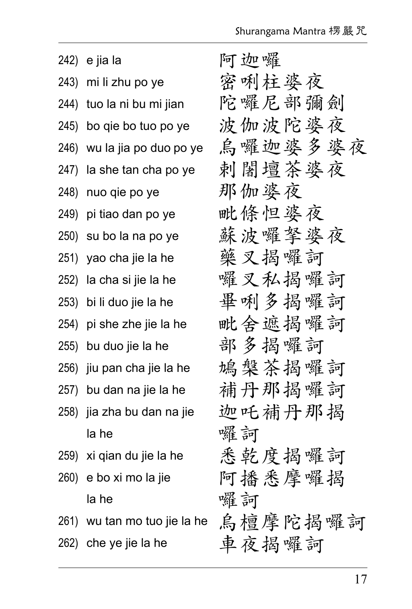| 242) | e jia la                     | 阿迦囉     |
|------|------------------------------|---------|
| 243) | mi li zhu po ye              | 密唎柱婆夜   |
| 244) | tuo la ni bu mi jian         | 陀囉尼部彌劍  |
| 245) | bo qie bo tuo po ye          | 波伽波陀婆夜  |
| 246) | wu la jia po duo po ye       | 烏囉迦婆多婆夜 |
| 247) | la she tan cha po ye         | 剌闍壇茶婆夜  |
|      | 248) nuo qie po ye           | 那伽婆夜    |
| 249) | pi tiao dan po ye            | 毗條怛婆夜   |
| 250) | su bo la na po ye            | 蘇波囉拏婆夜  |
| 251) | yao cha jie la he            | 藥叉揭囉訶   |
|      | 252) la cha si jie la he     | 囉叉私揭囉訶  |
|      | 253) bi li duo jie la he     | 畢唎多揭囉訶  |
|      | 254) pi she zhe jie la he    | 毗舍遮揭囉訶  |
|      | 255) bu duo jie la he        | 部多揭囉訶   |
| 256) | jiu pan cha jie la he        | 鳩槃茶揭囉訶  |
| 257) | bu dan na jie la he          | 補丹那揭囉訶  |
| 258) | jia zha bu dan na jie        | 迦吒補丹那揭  |
|      | la he                        | 囉訶      |
| 259) | xi qian du jie la he         | 悉乾度揭囉訶  |
|      | 260) e bo xi mo la jie       | 阿播悉摩囉揭  |
|      | la he                        | 囉訶      |
|      | 261) wu tan mo tuo jie la he | 烏檀摩陀揭囉訶 |
| 262) | che ye jie la he             | 車夜揭囉訶   |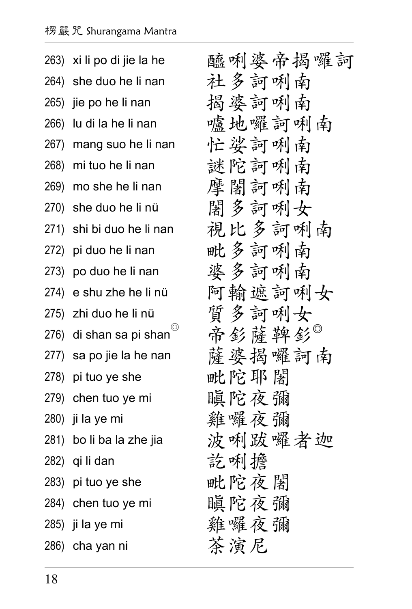| 263) xi li po di jie la he       | 醯唎婆帝揭囉訶 |
|----------------------------------|---------|
| 264) she duo he li nan           | 社多訶唎南   |
| 265) jie po he li nan            | 揭婆訶唎南   |
| 266) lu di la he li nan          | 嚧地囉訶唎南  |
| 267) mang suo he li nan          | 忙娑訶咧南   |
| 268) mi tuo he li nan            | 謎陀訶唎南   |
| 269) mo she he li nan            | 摩闍訶咧南   |
| 270) she duo he li nü            | 闍多訶唎女   |
| 271) shi bi duo he li nan        | 視比多訶唎南  |
| 272) pi duo he li nan            | 毗多訶唎南   |
| 273) po duo he li nan            | 婆多訶唎南   |
| 274) e shu zhe he li nü          | 阿輸遮訶唎女  |
| 275) zhi duo he li nü            | 質多訶唎女   |
| 276) di shan sa pi shan $^\circ$ | 帝釤薩鞞釤   |
| 277) sa po jie la he nan         | 薩婆揭囉訶南  |
| 278) pi tuo ye she               | 毗陀耶闍    |
| 279) chen tuo ye mi              | 瞋陀夜彌    |
| 280) ji la ye mi                 | 雞囉夜彌    |
| 281) bo li ba la zhe jia         | 波唎跋囉者迦  |
| 282) qi li dan                   | 訖唎擔     |
| 283) pi tuo ye she               | 毗陀夜闍    |
| 284) chen tuo ye mi              | 瞋陀夜彌    |
| 285) ji la ye mi                 | 雞囉夜彌    |
| 286) cha yan ni                  | 茶演尼     |
|                                  |         |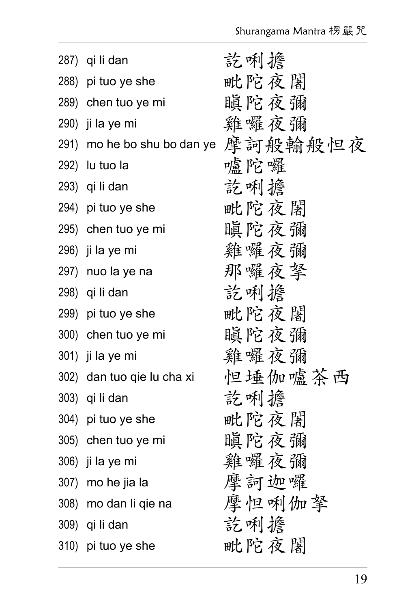| 287) qi li dan              | 訖唎擔     |
|-----------------------------|---------|
| 288) pi tuo ye she          | 毗陀夜闍    |
| 289) chen tuo ye mi         | 瞋陀夜彌    |
| 290) ji la ye mi            | 雞囉夜彌    |
| 291) mo he bo shu bo dan ye | 摩訶般輸般怛夜 |
| 292) lu tuo la              | 嚧陀囉     |
| 293) qi li dan              | 訖唎擔     |
| 294) pi tuo ye she          | 毗陀夜閣    |
| 295) chen tuo ye mi         | 瞋陀夜彌    |
| 296) ji la ye mi            | 雞囉夜彌    |
| 297) nuo la ye na           | 那囉夜拏    |
| 298) qi li dan              | 訖唎擔     |
| 299) pi tuo ye she          | 毗陀夜闍    |
| 300) chen tuo ye mi         | 瞋陀夜彌    |
| 301) ji la ye mi            | 雞囉夜彌    |
| 302) dan tuo qie lu cha xi  | 怛埵伽嚧茶西  |
| 303) qi li dan              | 訖唎檐     |
| 304) pi tuo ye she          | 毗陀夜閣    |
| 305) chen tuo ye mi         | 瞋陀夜彌    |
| 306) ji la ye mi            | 雞囉夜彌    |
| 307) mo he jia la           | 摩訶迦囉    |
| 308) mo dan li qie na       | 摩怛唎伽拏   |
| 309) qi li dan              | 訖唎擔     |
| 310) pi tuo ye she          | 毗陀夜闍    |
|                             |         |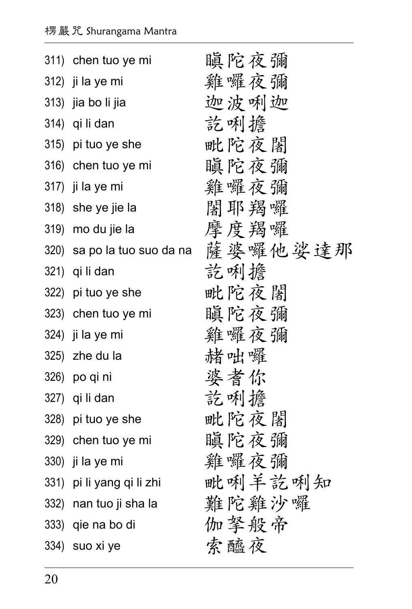| 311) chen tuo ye mi         | 瞋陀夜彌    |
|-----------------------------|---------|
| 312) ji la ye mi            | 雞囉夜彌    |
| 313) jia bo li jia          | 迦波咧迦    |
| 314) qi li dan              | 訖唎擔     |
| 315) pi tuo ye she          | 毗陀夜闍    |
| 316) chen tuo ye mi         | 瞋陀夜彌    |
| 317) ji la ye mi            | 雞囉夜彌    |
| 318) she ye jie la          | 闍耶羯囉    |
| 319) mo du jie la           | 摩度羯囉    |
| 320) sa po la tuo suo da na | 薩婆囉他娑達那 |
| 321) qi li dan              | 訖唎檐     |
| 322) pi tuo ye she          | 毗陀夜闍    |
| 323) chen tuo ye mi         | 瞋陀夜彌    |
| 324) ji la ye mi            | 雞囉夜彌    |
| 325) zhe du la              | 赭咄囉     |
| 326) po qi ni               | 婆耆你     |
| 327) qi li dan              | 訖唎擔     |
| 328) pi tuo ye she          | 毗陀夜闍    |
| 329) chen tuo ye mi         | 瞋陀夜彌    |
| 330) ji la ye mi            | 雞囉夜彌    |
| 331) pi li yang qi li zhi   | 毗唎羊訖唎知  |
| 332) nan tuo ji sha la      | 難陀雞沙囉   |
| 333) qie na bo di           | 伽拏般帝    |
| 334) suo xi ye              | 索醯夜     |
|                             |         |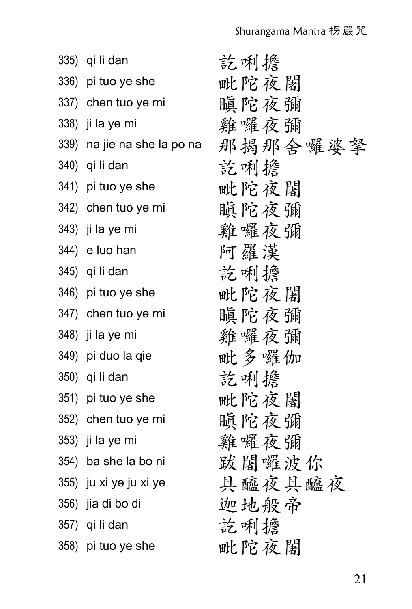| 335) qi li dan              | 訖唎擔     |
|-----------------------------|---------|
| 336) pi tuo ye she          | 毗陀夜闍    |
| 337) chen tuo ye mi         | 瞋陀夜彌    |
| 338) ji la ye mi            | 雞囉夜彌    |
| 339) na jie na she la po na | 那揭那舍囉婆拏 |
| 340) qi li dan              | 訖唎擔     |
| 341) pi tuo ye she          | 毗陀夜闍    |
| 342) chen tuo ye mi         | 瞋陀夜彌    |
| 343) ji la ye mi            | 雞囉夜彌    |
| 344) e luo han              | 阿羅漢     |
| 345) qi li dan              | 訖唎擔     |
| 346) pi tuo ye she          | 毗陀夜闍    |
| 347) chen tuo ye mi         | 瞋陀夜彌    |
| 348) ji la ye mi            | 雞囉夜彌    |
| 349) pi duo la qie          | 毗多囉伽    |
| 350) qi li dan              | 訖唎擔     |
| 351) pi tuo ye she          | 毗陀夜闍    |
| 352) chen tuo ye mi         | 瞋陀夜彌    |
| 353) ji la ye mi            | 雞囉夜彌    |
| 354) ba she la bo ni        | 跋闍囉波你   |
| 355) ju xi ye ju xi ye      | 具醯夜具醯夜  |
| 356) jia di bo di           | 迦地般帝    |
| 357) qi li dan              | 訖唎擔     |
| 358) pi tuo ye she          | 毗陀夜闍    |
|                             |         |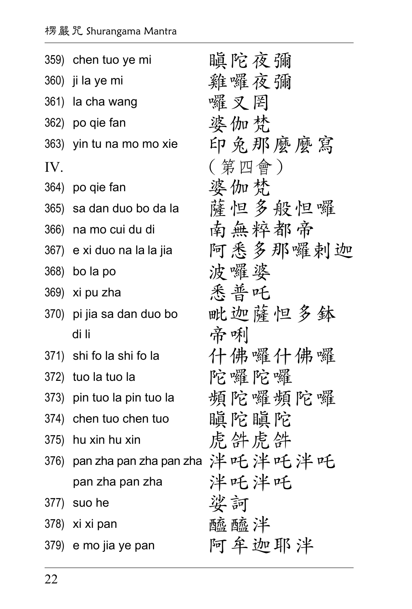|      | 359) chen tuo ye mi        | 瞋陀夜彌    |
|------|----------------------------|---------|
|      | 360) ji la ye mi           | 雞囉夜彌    |
|      | 361) la cha wang           | 囉叉罔     |
|      | 362) po qie fan            | 婆伽梵     |
|      | 363) yin tu na mo mo xie   | 印兔那麼麼寫  |
| IV.  |                            | ( 第四會 ) |
|      | 364) po qie fan            | 婆伽梵     |
| 365) | sa dan duo bo da la        | 薩怛多般怛囉  |
|      | 366) na mo cui du di       | 南無粹都帝   |
|      | 367) e xi duo na la la jia | 阿悉多那囉剌迦 |
|      | 368) bo la po              | 波囉婆     |
|      | 369) xi pu zha             | 悉普吒     |
|      | 370) pi jia sa dan duo bo  | 毗迦薩怛多鉢  |
|      | di li                      | 帝咧      |
|      | 371) shi fo la shi fo la   | 什佛囉什佛囉  |
|      | 372) tuo la tuo la         | 陀囉陀囉    |
|      | 373) pin tuo la pin tuo la | 頻陀囉頻陀囉  |
|      | 374) chen tuo chen tuo     | 瞋陀瞋陀    |
|      | 375) hu xin hu xin         | 虎绊虎绊    |
| 376) | pan zha pan zha pan zha    | 泮吒泮吒泮吒  |
|      | pan zha pan zha            | 泮吒泮吒    |
|      | 377) suo he                | 娑訶      |
|      | 378) xi xi pan             | 醯醯泮     |
|      | 379) e mo jia ye pan       | 阿牟迦耶泮   |
|      |                            |         |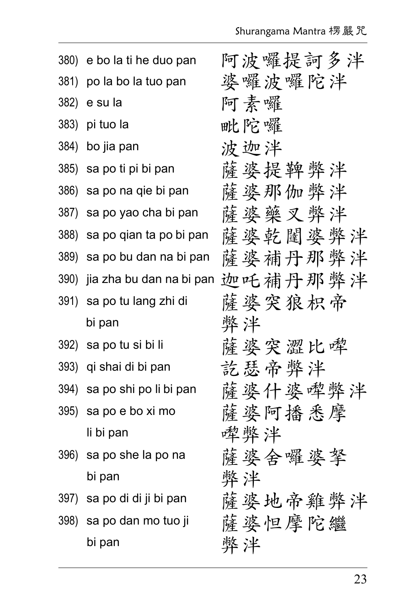| 380) | e bo la ti he duo pan      | 阿波囉提訶多泮 |
|------|----------------------------|---------|
| 381) | po la bo la tuo pan        | 婆囉波囉陀泮  |
| 382) | e su la                    | 阿素囉     |
| 383) | pi tuo la                  | 毗陀囉     |
| 384) | bo jia pan                 | 波迦泮     |
|      | 385) sa po ti pi bi pan    | 薩婆提鞞弊泮  |
| 386) | sa po na qie bi pan        | 薩婆那伽弊泮  |
| 387) | sa po yao cha bi pan       | 薩婆藥叉弊泮  |
| 388) | sa po qian ta po bi pan    | 薩婆乾闥婆弊泮 |
| 389) | sa po bu dan na bi pan     | 薩婆補丹那弊泮 |
| 390) | jia zha bu dan na bi pan   | 迦吒補丹那弊泮 |
| 391) | sa po tu lang zhi di       | 薩婆突狼枳帝  |
|      | bi pan                     | 弊泮      |
|      | 392) sa po tu si bi li     | 薩婆突澀比哗  |
| 393) | qi shai di bi pan          | 訖瑟帝弊泮   |
| 394) | sa po shi po li bi pan     | 薩婆什婆牽弊泮 |
|      | 395) sa po e bo xi mo      | 薩婆阿播悉摩  |
|      | li bi pan                  | 牽弊泮     |
|      | 396) sa po she la po na    | 薩婆会囉婆拏  |
|      | bi pan                     | 弊泮      |
|      | 397) sa po di di ji bi pan | 薩婆地帝雞弊泮 |
|      | 398) sa po dan mo tuo ji   | 薩婆怛摩陀繼  |
|      | bi pan                     | 弊泮      |
|      |                            |         |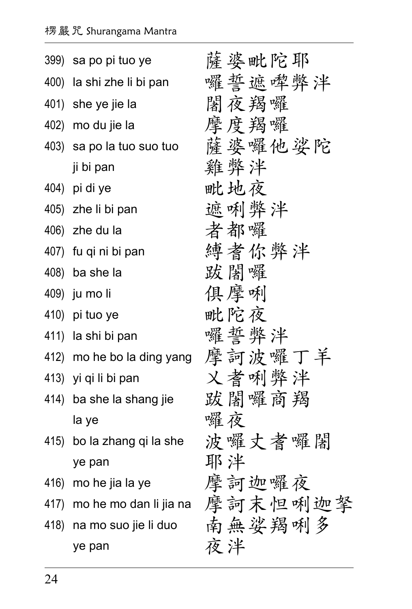| 399) sa po pi tuo ye       | 薩婆毗陀耶                         |
|----------------------------|-------------------------------|
| 400) la shi zhe li bi pan  | 囉誓遮哗弊泮                        |
| 401) she ye jie la         | 闍夜羯囉                          |
| 402) mo du jie la          | 摩度羯囉                          |
| 403) sa po la tuo suo tuo  | 薩婆囉他娑陀                        |
| ji bi pan                  | 雞弊泮                           |
| 404) pi di ye              | 毗地夜                           |
| 405) zhe li bi pan         | 遮喇弊泮                          |
| 406) zhe du la             | 者都囉                           |
| 407) fu qi ni bi pan       | 縛者你弊泮                         |
| 408) ba she la             | 跋闊囉                           |
| 409) ju mo li              | 俱摩咧                           |
| 410) pi tuo ye             | 毗陀夜                           |
| 411) la shi bi pan         | 囉誓弊泮                          |
| 412) mo he bo la ding yang | 摩訶波囉丁羊                        |
| 413) yi qi li bi pan       | 义者唎弊泮                         |
| 414) ba she la shang jie   | 跋闍囉商羯                         |
| la ye                      | 囉夜                            |
| 415) bo la zhang qi la she | 波囉丈耆囉闍                        |
| ye pan                     | 耶泮                            |
| 416) mo he jia la ye       | 摩訶迦囉夜                         |
|                            | 417) mohemodanlijiana 摩訶末怛唎迦拏 |
| 418) na mo suo jie li duo  | 南無娑羯咧多                        |
| ye pan                     | 夜泮                            |
|                            |                               |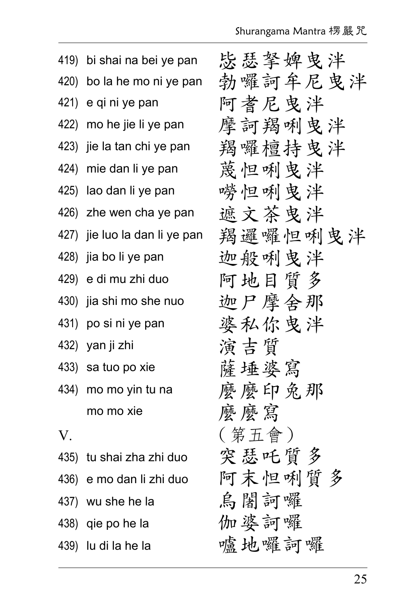|    | 419) bi shai na bei ye pan    | 毖瑟拏婢曳泮  |
|----|-------------------------------|---------|
|    | 420) bo la he mo ni ye pan    | 勃囉訶牟尼曳泮 |
|    | 421) e qi ni ye pan           | 阿耆尼曳泮   |
|    | 422) mo he jie li ye pan      | 摩訶羯唎曳泮  |
|    | 423) jie la tan chi ye pan    | 羯囉檀持曳泮  |
|    | 424) mie dan li ye pan        | 蔑怛唎曳泮   |
|    | 425) lao dan li ye pan        | 嘮怛唎曳泮   |
|    | 426) zhe wen cha ye pan       | 遮文茶曳泮   |
|    | 427) jie luo la dan li ye pan | 羯邏囉怛唎曳泮 |
|    | 428) jia bo li ye pan         | 迦般唎曳泮   |
|    | 429) e di mu zhi duo          | 阿地目質多   |
|    | 430) jia shi mo she nuo       | 迦尸摩舍那   |
|    | 431) po si ni ye pan          | 婆私你曳泮   |
|    | 432) yan ji zhi               | 演吉質     |
|    | 433) sa tuo po xie            | 薩埵婆寫    |
|    | 434) mo mo yin tu na          | 麼麼印兔那   |
|    | mo mo xie                     | 麼麼寫     |
| V. |                               | ( 第五會 ) |
|    | 435) tu shai zha zhi duo      | 突瑟吒質多   |
|    | 436) e mo dan li zhi duo      | 阿末怛唎質多  |
|    | 437) wu she he la             | 烏闍訶囉    |
|    | 438) qie po he la             | 伽婆訶囉    |
|    | 439) lu di la he la           | 嚧地囉訶囉   |
|    |                               |         |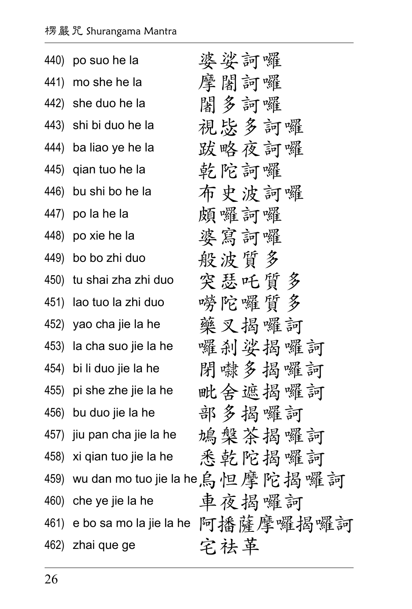| 440) | po suo he la                 | 婆娑訶囉                            |
|------|------------------------------|---------------------------------|
| 441) | mo she he la                 | 摩闍訶囉                            |
| 442) | she duo he la                | 闍多訶囉                            |
| 443) | shi bi duo he la             | 視毖多訶囉                           |
| 444) | ba liao ye he la             | 跋略夜訶囉                           |
|      | 445) qian tuo he la          | 乾陀訶囉                            |
|      | 446) bu shi bo he la         | 布史波訶囉                           |
| 447) | po la he la                  | 頗囉訶囉                            |
|      | 448) po xie he la            | 婆寫訶囉                            |
|      | 449) bo bo zhi duo           | 般波质多                            |
|      | 450) tu shai zha zhi duo     | 突瑟吒質多                           |
| 451) | lao tuo la zhi duo           | 嘮陀囉質多                           |
|      | 452) yao cha jie la he       | 藥叉揭囉訶                           |
|      | 453) la cha suo jie la he    | 囉刹娑揭囉訶                          |
|      | 454) bi li duo jie la he     | 閉嚇多揭囉訶                          |
|      | 455) pi she zhe jie la he    | 毗舍遮揭囉訶                          |
|      | 456) bu duo jie la he        | 部多揭囉訶                           |
|      | 457) jiu pan cha jie la he   | 鳩槃茶揭囉訶                          |
| 458) | xi qian tuo jie la he        | 悉乾陀揭囉訶                          |
| 459) |                              | wu dan mo tuo jie la he,烏怛摩陀揭囉訶 |
| 460) | che ye jie la he             | 車夜揭囉訶                           |
|      | 461) e bo sa mo la jie la he | 阿播薩摩囉揭囉訶                        |
| 462) | zhai que ge                  | 宅祛革                             |
|      |                              |                                 |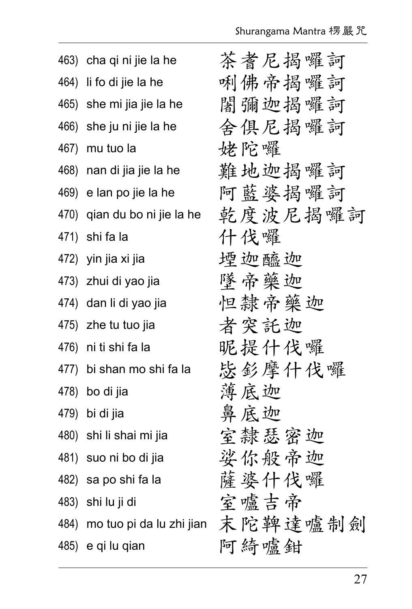|      | 463) cha qi ni jie la he     | 茶者尼揭囉訶  |
|------|------------------------------|---------|
|      | 464) li fo di jie la he      | 唎佛帝揭囉訶  |
|      | 465) she mi jia jie la he    | 闍彌迦揭囉訶  |
|      | 466) she ju ni jie la he     | 舍俱尼揭囉訶  |
| 467) | mu tuo la                    | 姥陀囉     |
|      | 468) nan di jia jie la he    | 難地迦揭囉訶  |
|      | 469) e lan po jie la he      | 阿藍婆揭囉訶  |
|      | 470) qian du bo ni jie la he | 乾度波尼揭囉訶 |
| 471) | shi fa la                    | 什伐囉     |
|      | 472) yin jia xi jia          | 堙迦醯迦    |
|      | 473) zhui di yao jia         | 墜帝藥迦    |
|      | 474) dan li di yao jia       | 怛隸帝藥迦   |
|      | 475) zhe tu tuo jia          | 者突託迦    |
|      | 476) ni ti shi fa la         | 昵提什伐囉   |
|      | 477) bi shan mo shi fa la    | 毖釤摩什伐囉  |
|      | 478) bo di jia               | 薄底迦     |
|      | 479) bi di jia               | 鼻底迦     |
|      | 480) shi li shai mi jia      | 室隸瑟密迦   |
|      | 481) suo ni bo di jia        | 娑你般帝迦   |
|      | 482) sa po shi fa la         | 薩婆什伐囉   |
|      | 483) shi lu ji di            | 室嚧吉帝    |
| 484) | mo tuo pi da lu zhi jian     | 末陀鞞達嚧制劍 |
|      | 485) e qi lu qian            | 阿綺嘯鉗    |
|      |                              |         |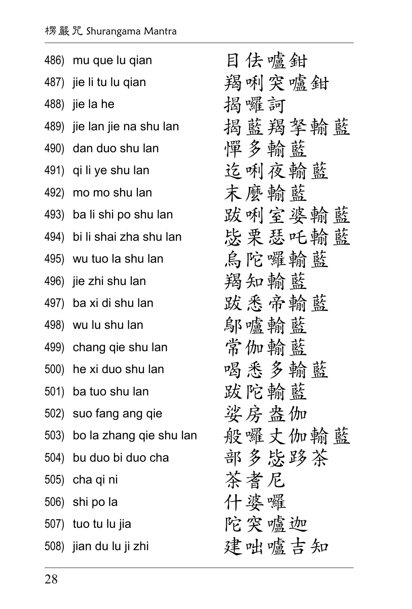|      | 486) mu que lu qian          | 目佉嚧鉗   |
|------|------------------------------|--------|
|      | 487) jie li tu lu qian       | 羯唎突嚧鉗  |
| 488) | jie la he                    | 揭囉訶    |
| 489) | jie lan jie na shu lan       | 揭藍羯拏輸藍 |
|      | 490) dan duo shu lan         | 憚多輸藍   |
|      | 491) qi li ye shu lan        | 迄唎夜輸藍  |
|      | 492) mo mo shu lan           | 末麼輪藍   |
|      | 493) ba li shi po shu lan    | 跋唎室婆輸藍 |
|      | 494) bi li shai zha shu lan  | 毖栗瑟吒輸藍 |
|      | 495) wu tuo la shu lan       | 烏陀囉輸藍  |
|      | 496) jie zhi shu lan         | 羯知輸藍   |
|      | 497) ba xi di shu lan        | 跋悉帝輸藍  |
|      | 498) wu lu shu lan           | 鄔嚧輸藍   |
|      | 499) chang qie shu lan       | 常伽輸藍   |
|      | 500) he xi duo shu lan       | 喝悉多輸藍  |
|      | 501) ba tuo shu lan          | 跋陀輸藍   |
|      | 502) suo fang ang qie        | 娑房盎伽   |
|      | 503) bo la zhang qie shu lan | 般囉丈伽輸藍 |
|      | 504) bu duo bi duo cha       | 部多毖路茶  |
|      | 505) cha qi ni               | 茶者尼    |
|      | 506) shi po la               | 什婆囉    |
|      | 507) tuo tu lu jia           | 陀突爐迦   |
|      | 508) jian du lu ji zhi       | 建咄嚧吉知  |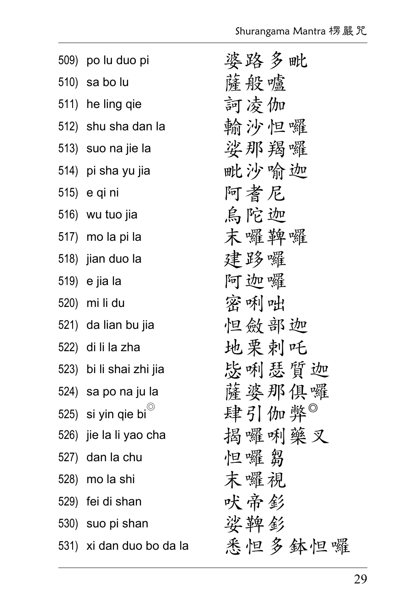| 509) po lu duo pi           | 婆路多毗   |
|-----------------------------|--------|
| 510) sa bo lu               | 薩般爐    |
| 511) he ling qie            | 訶凌伽    |
| 512) shu sha dan la         | 輸沙怛囉   |
| 513) suo na jie la          | 娑那羯囉   |
| 514) pi sha yu jia          | 毗沙喻迦   |
| 515) e qi ni                | 阿耆尼    |
| 516) wu tuo jia             | 烏陀迦    |
| 517) mo la pi la            | 末囉鞞囉   |
| 518) jian duo la            | 建路囉    |
| 519) e jia la               | 阿迦囉    |
| 520) mi li du               | 密唎咄    |
| 521) da lian bu jia         | 怛斂部迦   |
| 522) di li la zha           | 地栗剌吒   |
| 523) bi li shai zhi jia     | 毖唎瑟質迦  |
| 524) sa po na ju la         | 薩婆那俱囉  |
| 525) si yin qie bi $^\circ$ | 肆引伽弊®  |
| 526) jie la li yao cha      | 揭囉唎藥叉  |
| 527) dan la chu             | 怛囉芻    |
| 528) mo la shi              | 末囉視    |
| 529) fei di shan            | 吠帝釤    |
| 530) suo pi shan            | 娑鞞釤    |
| 531) xi dan duo bo da la    | 悉怛多鉢怛囉 |
|                             |        |